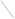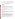# **Technical Factsheet on: ETHYLENE DIBROMIDE (EDB)**

## [List of Contaminants](http://www.epa.gov/safewater/hfacts.html)

 As part of the Drinking Water and Health pages, this fact sheet is part of a larger publication: **National Primary Drinking Water Regulations** 

Drinking Water Standards MCLG: zero mg/l MCL: 0.00005 mg/l HAL(child): 1 day: 0.008 mg/l; 10-day: 0.008 mg/l

## **Health Effects Summary**

Acute: EPA has found ethylene dibromide (EDB) to potentially cause a variety of acute health effects, including damage to the liver, stomach, and adrenal cortex along with significant reproductive system toxicity, particularly the testes.

Drinking water levels which are considered "safe" for short-term exposures: For a 10-kg (22 lb.) child consuming 1 liter of water per day, a one-day exposure of 0.008 mg/L or a ten-day exposure to 0.008 mg/L.

Chronic: A lifetime exposure to EDB at levels above the MCL has the potential to damage the respiratory system, nervous system, liver, heart, and kidneys.

Cancer: There is some evidence that EDB may have the potential to cause cancer from a lifetime exposure at levels above the MCL.

### **Usage Patterns**

Ethylene dibromide is mainly used (83% of all use) as a scavenger for lead in anti-knock gasoline mixtures, particularly in aviation fuel. Other uses (17%) include: solvent for resins, gums, and waxes; in waterproofing preparations; as a chemical intermediate in the synthesis of dyes and pharmaceuticals; and as a fumigant, insecticide, nematicide for grains and fruit.

### **Release Patterns**

 Monitoring of ethylene bromide in ocean water and ocean air suggests that ethylene bromide may be formed naturally in the ocean as a result of macro algae growth.

 wastewater and emissions from its use as a solvent for resins, gums, and waxes and; as a chemical Artificial releases include: evaporative losses associated with the use, storage, and transport of leaded gasoline in which it is used as a lead scavenger; spills and leaking storage tanks for leaded gasoline; exhaust from vehicles using leaded gasoline; emissions from its former use as a fumigant for soil, grain, fruits, vegetables, tobacco, and seed uses which have recently been restricted or discontinued; intermediate in the synthesis of dyes and pharmaceuticals; residue in fumigated food.

 refineries. The largest of these releases occurred in California and Missouri. From 1987 to 1993, according to the Toxics Release Inventory EDB releases to land totalled 2,670 lbs., and water releases totalled 2,554 lbs. These releases were primarily from facilities classified as petroleum

### **Environmental Fate**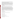When spilled on land or applied to land during soil fumigation, ethylene dibromide will exhibit low to However, in typical fields where gaseous ethylene dibromide has been used as a soil fumigant, 99% of the ethylene dibromide used in fumigation is in the sorbed state. moderate adsorption and has been found in groundwater. Measured KOC values range from 14 to 160.

 years after its last known application; the long persistence was the result of entrapment in intraparticle Persistence can vary greatly from soil to soil. In one laboratory screening study using 100 soils, half-lives ranging from 1.5 to 18 weeks were determined. In one field, ethylene bromide was detected in soil 19 micropores of the soil. Low Koc values and detection in various ground waters indicate that ethylene bromide will leach in soil. The relatively high vapor pressure (11.2 mm Hg) indicates evaporation will occur from soil surfaces.

 In the atmosphere, ethylene dibromide will degrade by reaction with photochemically produced hydroxyl radicals (half life 32 days).

The primary removal process for ethylene bromide in surface water is volatilization. Under normal conditions, the volatilization half-life from a typical river and lake are about one day and 5 days, respectively.

 yr at 25 deg C, to 13.2 yr at pH7 and 20 deg C. But hydrolysis catalyzed by the presence of various In ground waters (such as aquifers) where volatilization does not occur, ethylene bromide can be degraded by biodegradation and hydrolysis. Uncatalyzed hydrolysis is slow, with half-lives reported of 6 natural substances (such as HS ion) may be competitive with biodegradation (half-life of 1-2 months). It reacts with photochemically produced hydroxyl radicals with a half life of 32 days or a 2.2% loss per sunlit day. Ethylene bromide does not directly photolyze when exposed to uv light between 300 and 400 nm.

 Biodegradation can be a primary degradation process in soil. A review of available biodegradation data pertaining to ethylene bromide concluded that ethylene bromide is biotransformed fairly readily in the environment; lifetimes can be as short as several days in surface soils and as long as many months in aquifer materials.

The measured log BCF in fish is < 1 indicating that ethylene dibromide does not bioconcentrate in fish.

## **Chemical/ Physical Properties**

CAS Number: 106-93-4

Color/ Form/Odor: Colorless, heavy liquid; mildly sweet chloroform-like odor.

M.P.: 9.8 C B.P.: 131-132 C

Vapor Pressure: 11.2 mm Hg

Density/Spec. Grav.: 2.2 g/ml

Octanol/Water Partition (Kow): Log Kow = 135

Solubilities: 40 g/L of water at 25 C

Soil sorption coefficient (Koc): low to moderate; Koc = 14 to 160

Odor/Taste Thresholds: N/A